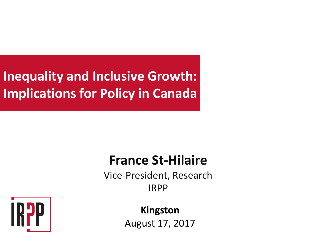#### **Inequality and Inclusive Growth: Implications for Policy in Canada**

#### **France St-Hilaire**

Vice-President, Research IRPP



**Kingston** August 17, 2017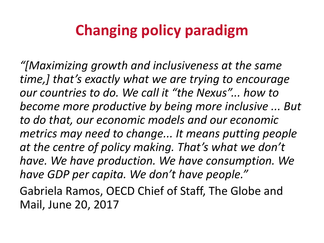## **Changing policy paradigm**

*"[Maximizing growth and inclusiveness at the same time,]* that's exactly what we are trying to encourage *our* countries to do. We call it "the Nexus"... how to become more productive by being more inclusive ... But *to do that, our economic models and our economic metrics* may need to change... It means putting people at the centre of policy making. That's what we don't have. We have production. We have consumption. We have GDP per capita. We don't have people."

Gabriela Ramos, OECD Chief of Staff, The Globe and Mail, June 20, 2017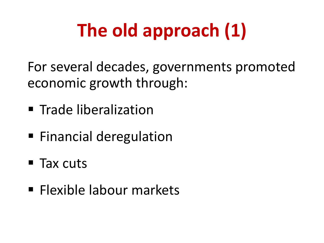# **The old approach (1)**

For several decades, governments promoted economic growth through:

- **Trade liberalization**
- Financial deregulation
- Tax cuts
- **Elexible labour markets**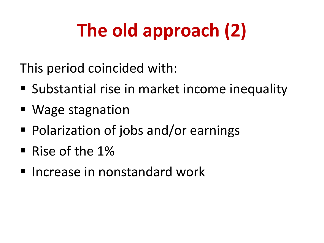# The old approach (2)

This period coincided with:

- Substantial rise in market income inequality
- Wage stagnation
- Polarization of jobs and/or earnings
- Rise of the  $1\%$
- $\blacksquare$  Increase in nonstandard work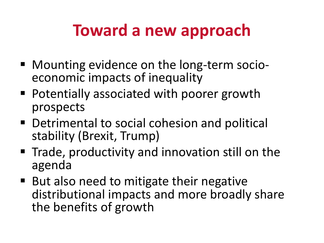## **Toward a new approach**

- Mounting evidence on the long-term socio-<br>economic impacts of inequality
- Potentially associated with poorer growth prospects
- Detrimental to social cohesion and political stability (Brexit, Trump)
- Trade, productivity and innovation still on the agenda
- But also need to mitigate their negative distributional impacts and more broadly share the benefits of growth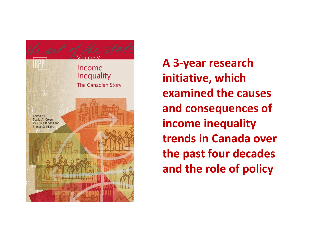

**A 3-year research initiative, which examined the causes** and consequences of **income inequality trends in Canada over the past four decades and the role of policy**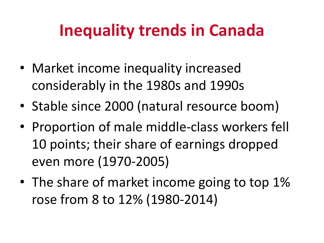# **Inequality trends in Canada**

- Market income inequality increased considerably in the 1980s and 1990s
- Stable since 2000 (natural resource boom)
- Proportion of male middle-class workers fell 10 points; their share of earnings dropped even more (1970-2005)
- The share of market income going to top 1% rose from 8 to 12% (1980-2014)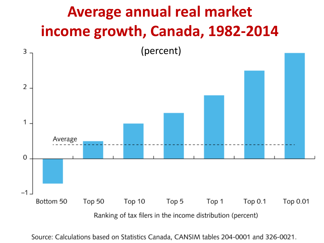

Source: Calculations based on Statistics Canada, CANSIM tables 204-0001 and 326-0021.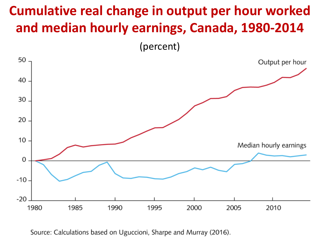#### **Cumulative real change in output per hour worked** and median hourly earnings, Canada, 1980-2014

(percent)



Source: Calculations based on Uguccioni, Sharpe and Murray (2016).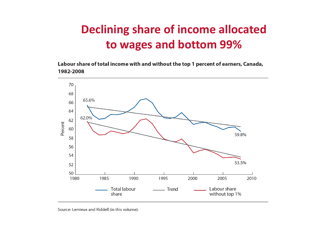#### **Declining share of income allocated to wages and bottom 99%**

Labour share of total income with and without the top 1 percent of earners, Canada, 1982-2008



Source: Lemieux and Riddell (in this volume).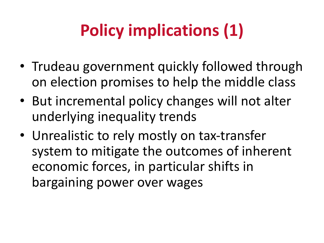# **Policy implications (1)**

- Trudeau government quickly followed through on election promises to help the middle class
- But incremental policy changes will not alter underlying inequality trends
- Unrealistic to rely mostly on tax-transfer system to mitigate the outcomes of inherent economic forces, in particular shifts in bargaining power over wages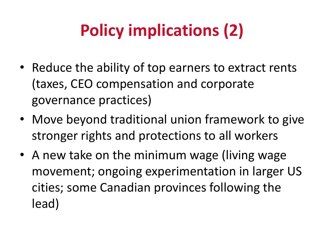# **Policy implications (2)**

- Reduce the ability of top earners to extract rents (taxes, CEO compensation and corporate governance practices)
- Move beyond traditional union framework to give stronger rights and protections to all workers
- A new take on the minimum wage (living wage movement; ongoing experimentation in larger US cities; some Canadian provinces following the lead)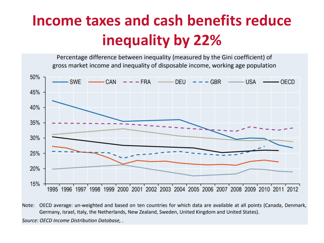### **Income taxes and cash benefits reduce inequality by 22%**

Percentage difference between inequality (measured by the Gini coefficient) of gross market income and inequality of disposable income, working age population



Note: OECD average: un-weighted and based on ten countries for which data are available at all points (Canada, Denmark, Germany, Israel, Italy, the Netherlands, New Zealand, Sweden, United Kingdom and United States).

Source: OECD Income Distribution Database, .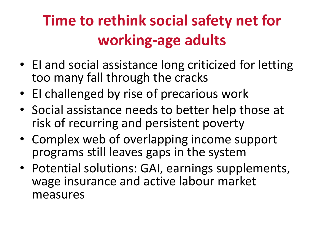## **Time to rethink social safety net for working-age adults**

- EI and social assistance long criticized for letting too many fall through the cracks
- El challenged by rise of precarious work
- Social assistance needs to better help those at risk of recurring and persistent poverty
- Complex web of overlapping income support programs still leaves gaps in the system
- Potential solutions: GAI, earnings supplements, wage insurance and active labour market measures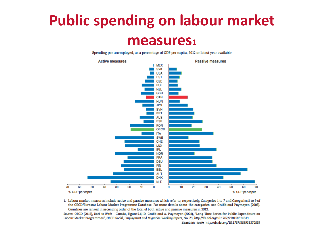# **Public spending on labour market**

#### **measures1**

Spending per unemployed, as a percentage of GDP per capita, 2012 or latest year available



1. Labour market measures include active and passive measures which refer to, respectively, Categories 1 to 7 and Categories 8 to 9 of the OECD/Eurostat Labour Market Programme Database. For more details about the categories, see Grubb and Puymoyen (2008). Countries are ranked in ascending order of the total of both active and passive measures in 2012.

Source: OECD (2015), Back to Work - Canada, Figure 5.6; D. Grubb and A. Puymoyen (2008), "Long-Time Series for Public Expenditure on Labour Market Programmes", OECD Social, Employment and Migration Working Papers, No. 73, http://dx.doi.org/10.1787/230128514343. StatLink Nusle http://dx.doi.org/10.1787/888933370839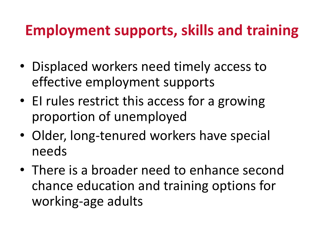### **Employment supports, skills and training**

- Displaced workers need timely access to effective employment supports
- El rules restrict this access for a growing proportion of unemployed
- Older, long-tenured workers have special needs
- There is a broader need to enhance second chance education and training options for working-age adults